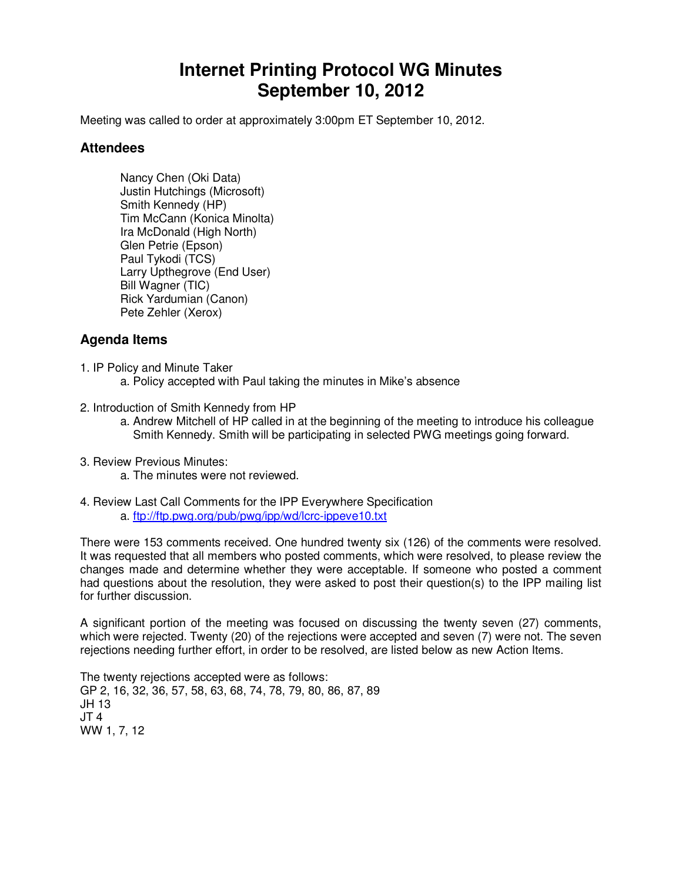# **Internet Printing Protocol WG Minutes September 10, 2012**

Meeting was called to order at approximately 3:00pm ET September 10, 2012.

#### **Attendees**

Nancy Chen (Oki Data) Justin Hutchings (Microsoft) Smith Kennedy (HP) Tim McCann (Konica Minolta) Ira McDonald (High North) Glen Petrie (Epson) Paul Tykodi (TCS) Larry Upthegrove (End User) Bill Wagner (TIC) Rick Yardumian (Canon) Pete Zehler (Xerox)

## **Agenda Items**

- 1. IP Policy and Minute Taker
	- a. Policy accepted with Paul taking the minutes in Mike's absence
- 2. Introduction of Smith Kennedy from HP
	- a. Andrew Mitchell of HP called in at the beginning of the meeting to introduce his colleague Smith Kennedy. Smith will be participating in selected PWG meetings going forward.
- 3. Review Previous Minutes:
	- a. The minutes were not reviewed.
- 4. Review Last Call Comments for the IPP Everywhere Specification a. ftp://ftp.pwg.org/pub/pwg/ipp/wd/lcrc-ippeve10.txt

There were 153 comments received. One hundred twenty six (126) of the comments were resolved. It was requested that all members who posted comments, which were resolved, to please review the changes made and determine whether they were acceptable. If someone who posted a comment had questions about the resolution, they were asked to post their question(s) to the IPP mailing list for further discussion.

A significant portion of the meeting was focused on discussing the twenty seven (27) comments, which were rejected. Twenty (20) of the rejections were accepted and seven (7) were not. The seven rejections needing further effort, in order to be resolved, are listed below as new Action Items.

The twenty rejections accepted were as follows: GP 2, 16, 32, 36, 57, 58, 63, 68, 74, 78, 79, 80, 86, 87, 89 JH 13 JT 4 WW 1, 7, 12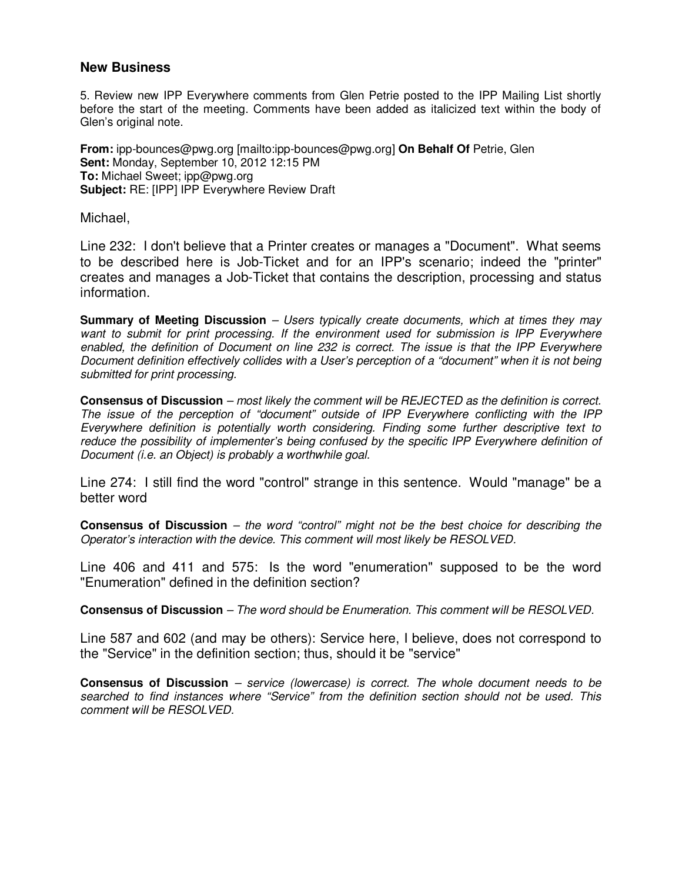#### **New Business**

5. Review new IPP Everywhere comments from Glen Petrie posted to the IPP Mailing List shortly before the start of the meeting. Comments have been added as italicized text within the body of Glen's original note.

**From:** ipp-bounces@pwg.org [mailto:ipp-bounces@pwg.org] **On Behalf Of** Petrie, Glen **Sent:** Monday, September 10, 2012 12:15 PM **To:** Michael Sweet; ipp@pwg.org **Subject:** RE: [IPP] IPP Everywhere Review Draft

Michael,

Line 232: I don't believe that a Printer creates or manages a "Document". What seems to be described here is Job-Ticket and for an IPP's scenario; indeed the "printer" creates and manages a Job-Ticket that contains the description, processing and status information.

**Summary of Meeting Discussion** – Users typically create documents, which at times they may want to submit for print processing. If the environment used for submission is IPP Everywhere enabled, the definition of Document on line 232 is correct. The issue is that the IPP Everywhere Document definition effectively collides with a User's perception of a "document" when it is not being submitted for print processing.

**Consensus of Discussion** – most likely the comment will be REJECTED as the definition is correct. The issue of the perception of "document" outside of IPP Everywhere conflicting with the IPP Everywhere definition is potentially worth considering. Finding some further descriptive text to reduce the possibility of implementer's being confused by the specific IPP Everywhere definition of Document (i.e. an Object) is probably a worthwhile goal.

Line 274: I still find the word "control" strange in this sentence. Would "manage" be a better word

**Consensus of Discussion** – the word "control" might not be the best choice for describing the Operator's interaction with the device. This comment will most likely be RESOLVED.

Line 406 and 411 and 575: Is the word "enumeration" supposed to be the word "Enumeration" defined in the definition section?

**Consensus of Discussion** – The word should be Enumeration. This comment will be RESOLVED.

Line 587 and 602 (and may be others): Service here, I believe, does not correspond to the "Service" in the definition section; thus, should it be "service"

**Consensus of Discussion** – service (lowercase) is correct. The whole document needs to be searched to find instances where "Service" from the definition section should not be used. This comment will be RESOLVED.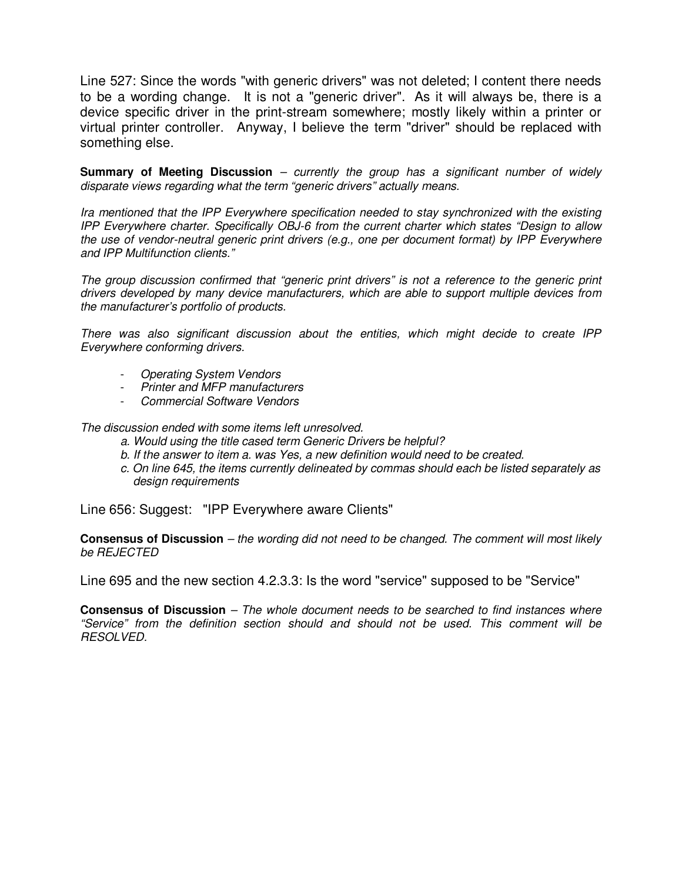Line 527: Since the words "with generic drivers" was not deleted; I content there needs to be a wording change. It is not a "generic driver". As it will always be, there is a device specific driver in the print-stream somewhere; mostly likely within a printer or virtual printer controller. Anyway, I believe the term "driver" should be replaced with something else.

**Summary of Meeting Discussion** – currently the group has a significant number of widely disparate views regarding what the term "generic drivers" actually means.

Ira mentioned that the IPP Everywhere specification needed to stay synchronized with the existing IPP Everywhere charter. Specifically OBJ-6 from the current charter which states "Design to allow the use of vendor-neutral generic print drivers (e.g., one per document format) by IPP Everywhere and IPP Multifunction clients."

The group discussion confirmed that "generic print drivers" is not a reference to the generic print drivers developed by many device manufacturers, which are able to support multiple devices from the manufacturer's portfolio of products.

There was also significant discussion about the entities, which might decide to create IPP Everywhere conforming drivers.

- Operating System Vendors
- Printer and MFP manufacturers
- Commercial Software Vendors

The discussion ended with some items left unresolved.

- a. Would using the title cased term Generic Drivers be helpful?
- b. If the answer to item a. was Yes, a new definition would need to be created.
- c. On line 645, the items currently delineated by commas should each be listed separately as design requirements

Line 656: Suggest: "IPP Everywhere aware Clients"

**Consensus of Discussion** – the wording did not need to be changed. The comment will most likely be REJECTED

Line 695 and the new section 4.2.3.3: Is the word "service" supposed to be "Service"

**Consensus of Discussion** – The whole document needs to be searched to find instances where "Service" from the definition section should and should not be used. This comment will be RESOLVED.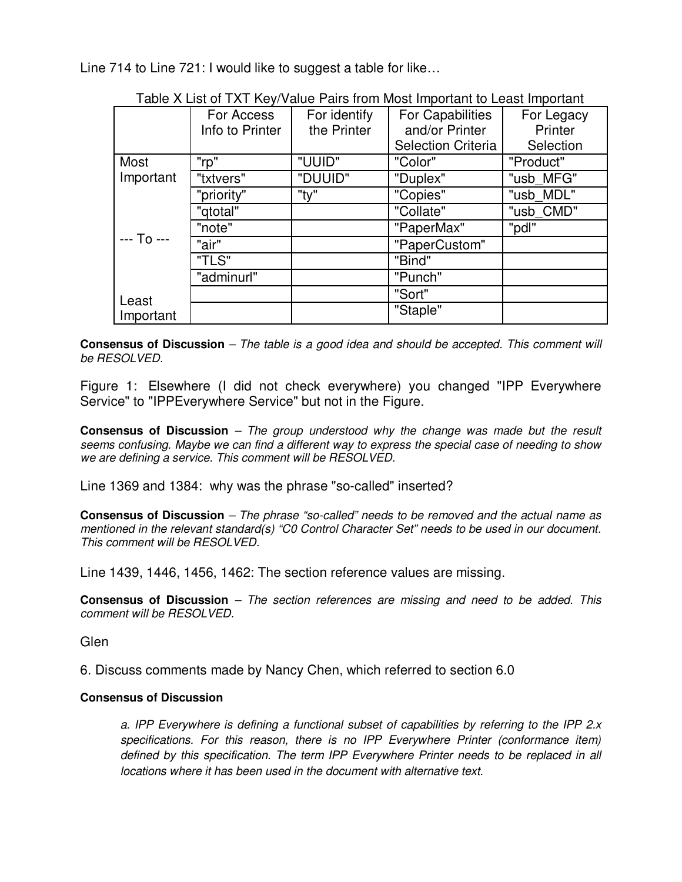Line 714 to Line 721: I would like to suggest a table for like…

| rapic A List or TAT TWW value I and hom most important to Least important |                 |              |                           |            |
|---------------------------------------------------------------------------|-----------------|--------------|---------------------------|------------|
|                                                                           | For Access      | For identify | <b>For Capabilities</b>   | For Legacy |
|                                                                           | Info to Printer | the Printer  | and/or Printer            | Printer    |
|                                                                           |                 |              | <b>Selection Criteria</b> | Selection  |
| Most                                                                      | "rp"            | "UUID"       | "Color"                   | "Product"  |
| Important                                                                 | "txtvers"       | "DUUID"      | "Duplex"                  | "usb MFG"  |
| $--$ To $--$                                                              | "priority"      | "ty"         | "Copies"                  | "usb MDL"  |
|                                                                           | "gtotal"        |              | "Collate"                 | "usb CMD"  |
|                                                                           | "note"          |              | "PaperMax"                | "pdl"      |
|                                                                           | "air"           |              | "PaperCustom"             |            |
|                                                                           | "TLS"           |              | "Bind"                    |            |
|                                                                           | "adminurl"      |              | "Punch"                   |            |
| Least                                                                     |                 |              | "Sort"                    |            |
| Important                                                                 |                 |              | "Staple"                  |            |

Table X List of TXT Key/Value Pairs from Most Important to Least Important

**Consensus of Discussion** – The table is a good idea and should be accepted. This comment will be RESOLVED.

Figure 1: Elsewhere (I did not check everywhere) you changed "IPP Everywhere Service" to "IPPEverywhere Service" but not in the Figure.

**Consensus of Discussion** – The group understood why the change was made but the result seems confusing. Maybe we can find a different way to express the special case of needing to show we are defining a service. This comment will be RESOLVED.

Line 1369 and 1384: why was the phrase "so-called" inserted?

**Consensus of Discussion** – The phrase "so-called" needs to be removed and the actual name as mentioned in the relevant standard(s) "C0 Control Character Set" needs to be used in our document. This comment will be RFSOLVED.

Line 1439, 1446, 1456, 1462: The section reference values are missing.

**Consensus of Discussion** – The section references are missing and need to be added. This comment will be RESOLVED.

Glen

6. Discuss comments made by Nancy Chen, which referred to section 6.0

#### **Consensus of Discussion**

a. IPP Everywhere is defining a functional subset of capabilities by referring to the IPP 2.x specifications. For this reason, there is no IPP Everywhere Printer (conformance item) defined by this specification. The term IPP Everywhere Printer needs to be replaced in all locations where it has been used in the document with alternative text.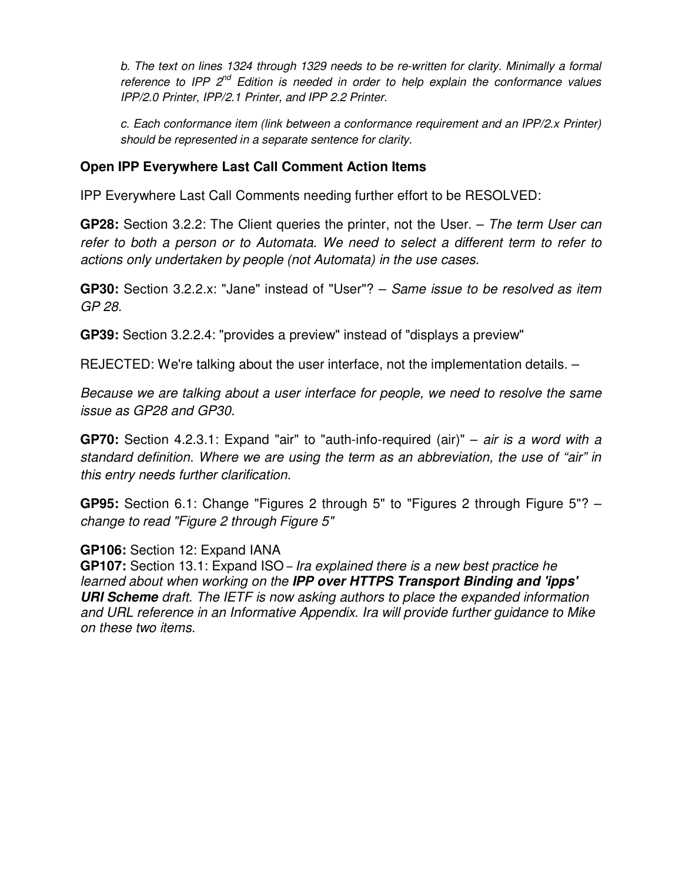b. The text on lines 1324 through 1329 needs to be re-written for clarity. Minimally a formal reference to IPP  $2^{nd}$  Edition is needed in order to help explain the conformance values IPP/2.0 Printer, IPP/2.1 Printer, and IPP 2.2 Printer.

c. Each conformance item (link between a conformance requirement and an IPP/2.x Printer) should be represented in a separate sentence for clarity.

## **Open IPP Everywhere Last Call Comment Action Items**

IPP Everywhere Last Call Comments needing further effort to be RESOLVED:

**GP28:** Section 3.2.2: The Client queries the printer, not the User. – The term User can refer to both a person or to Automata. We need to select a different term to refer to actions only undertaken by people (not Automata) in the use cases.

**GP30:** Section 3.2.2.x: "Jane" instead of "User"? – Same issue to be resolved as item GP 28.

**GP39:** Section 3.2.2.4: "provides a preview" instead of "displays a preview"

REJECTED: We're talking about the user interface, not the implementation details. –

Because we are talking about a user interface for people, we need to resolve the same issue as GP28 and GP30.

**GP70:** Section 4.2.3.1: Expand "air" to "auth-info-required (air)" – air is a word with a standard definition. Where we are using the term as an abbreviation, the use of "air" in this entry needs further clarification.

**GP95:** Section 6.1: Change "Figures 2 through 5" to "Figures 2 through Figure 5"? – change to read "Figure 2 through Figure 5"

### **GP106:** Section 12: Expand IANA

**GP107:** Section 13.1: Expand ISO – Ira explained there is a new best practice he learned about when working on the **IPP over HTTPS Transport Binding and 'ipps' URI Scheme** draft. The IETF is now asking authors to place the expanded information and URL reference in an Informative Appendix. Ira will provide further guidance to Mike on these two items.